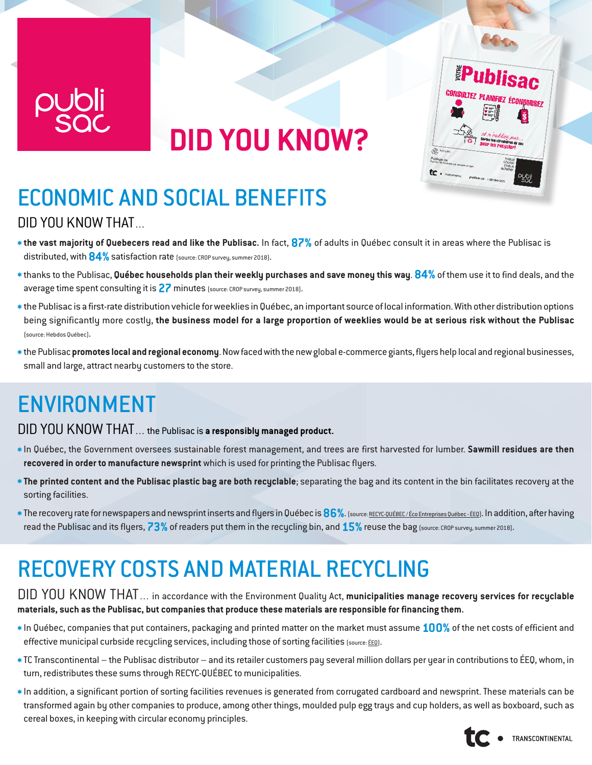

# **DID YOU KNOW?**



### ECONOMIC AND SOCIAL BENEFITS DID YOU KNOW THAT…

- **\*the vast majority of Quebecers read and like the Publisac.** In fact, **87%** of adults in Québec consult it in areas where the Publisac is distributed, with **84%** satisfaction rate (source: CROP survey, summer 2018).
- **\***thanks to the Publisac, **Québec households plan their weekly purchases and save money this way**. **84%** of them use it to find deals, and the average time spent consulting it is **27** minutes (source: CROP survey, summer 2018).
- **\***the Publisac is a first-rate distribution vehicle for weeklies in Québec, an important source of local information. With other distribution options being significantly more costly, **the business model for a large proportion of weeklies would be at serious risk without the Publisac** (source: Hebdos Québec).
- **\***the Publisac **promotes local and regional economy**. Now faced with the new global e-commerce giants, flyers help local and regional businesses, small and large, attract nearby customers to the store.

### ENVIRONMENT

#### DID YOU KNOW THAT… the Publisac is **a responsibly managed product.**

- **\***In Québec, the Government oversees sustainable forest management, and trees are first harvested for lumber. **Sawmill residues are then recovered in order to manufacture newsprint** which is used for printing the Publisac flyers.
- **\* The printed content and the Publisac plastic bag are both recyclable**; separating the bag and its content in the bin facilitates recovery at the sorting facilities.
- **\***The recovery rate for newspapers and newsprint inserts and flyers in Québec is **86%**. (source: [RECYC-QUÉBEC / Éco Entreprises Québec ÉEQ\)](https://www.recyc-quebec.gouv.qc.ca/sites/default/files/documents/fiche-papier-journal.pdf). In addition, after having read the Publisac and its flyers, **73%** of readers put them in the recycling bin, and **15%**reuse the bag (source: CROP survey, summer 2018).

### RECOVERY COSTS AND MATERIAL RECYCLING

#### DID YOU KNOW THAT… in accordance with the Environment Quality Act, **municipalities manage recovery services for recyclable materials, such as the Publisac, but companies that produce these materials are responsible for financing them.**

- **\***In Québec, companies that put containers, packaging and printed matter on the market must assume **100%** of the net costs of efficient and effective municipal curbside recycling services, including those of sorting facilities (source: [ÉEQ\)](http://www.eeq.ca/rapportannuel2017/en/index.php).
- **\***TC Transcontinental the Publisac distributor and its retailer customers pay several million dollars per year in contributions to ÉEQ, whom, in turn, redistributes these sums through RECYC-QUÉBEC to municipalities.
- **\***In addition, a significant portion of sorting facilities revenues is generated from corrugated cardboard and newsprint. These materials can be transformed again by other companies to produce, among other things, moulded pulp egg trays and cup holders, as well as boxboard, such as cereal boxes, in keeping with circular economy principles.